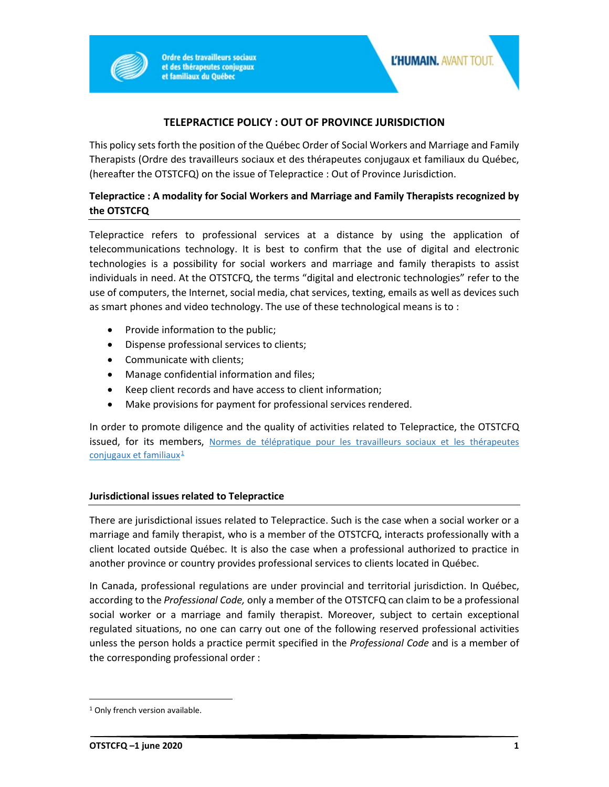

**Ordre des travailleurs sociaux** et des thérapeutes conjugaux et familiaux du Québec

## **TELEPRACTICE POLICY : OUT OF PROVINCE JURISDICTION**

This policy sets forth the position of the Québec Order of Social Workers and Marriage and Family Therapists (Ordre des travailleurs sociaux et des thérapeutes conjugaux et familiaux du Québec, (hereafter the OTSTCFQ) on the issue of Telepractice : Out of Province Jurisdiction.

## **Telepractice : A modality for Social Workers and Marriage and Family Therapists recognized by the OTSTCFQ**

Telepractice refers to professional services at a distance by using the application of telecommunications technology. It is best to confirm that the use of digital and electronic technologies is a possibility for social workers and marriage and family therapists to assist individuals in need. At the OTSTCFQ, the terms "digital and electronic technologies" refer to the use of computers, the Internet, social media, chat services, texting, emails as well as devices such as smart phones and video technology. The use of these technological means is to :

- Provide information to the public;
- Dispense professional services to clients;
- Communicate with clients;
- Manage confidential information and files;
- Keep client records and have access to client information;
- Make provisions for payment for professional services rendered.

In order to promote diligence and the quality of activities related to Telepractice, the OTSTCFQ issued, for its members, Normes de télépratique pour les travailleurs sociaux et les thérapeutes [conjugaux et familiaux](https://www1.otstcfq.org/documentation/normes-de-telepratique-pour-les-travailleurs-sociaux-et-les-therapeutes-conjugaux-et-familiaux/) $1$ 

## **Jurisdictional issues related to Telepractice**

There are jurisdictional issues related to Telepractice. Such is the case when a social worker or a marriage and family therapist, who is a member of the OTSTCFQ, interacts professionally with a client located outside Québec. It is also the case when a professional authorized to practice in another province or country provides professional services to clients located in Québec.

In Canada, professional regulations are under provincial and territorial jurisdiction. In Québec, according to the *Professional Code,* only a member of the OTSTCFQ can claim to be a professional social worker or a marriage and family therapist. Moreover, subject to certain exceptional regulated situations, no one can carry out one of the following reserved professional activities unless the person holds a practice permit specified in the *Professional Code* and is a member of the corresponding professional order :

<span id="page-0-0"></span><sup>&</sup>lt;sup>1</sup> Only french version available.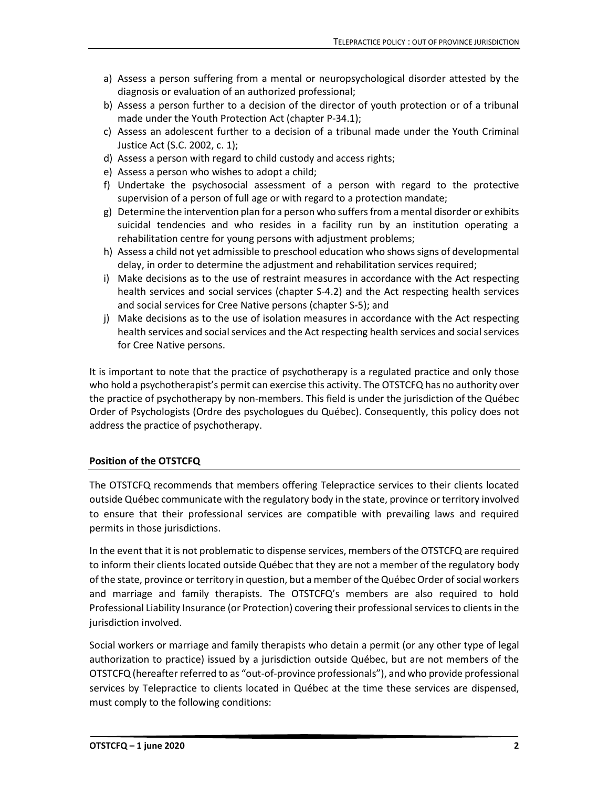- a) Assess a person suffering from a mental or neuropsychological disorder attested by the diagnosis or evaluation of an authorized professional;
- b) Assess a person further to a decision of the director of youth protection or of a tribunal made under the Youth Protection Act (chapter P-34.1);
- c) Assess an adolescent further to a decision of a tribunal made under the Youth Criminal Justice Act (S.C. 2002, c. 1);
- d) Assess a person with regard to child custody and access rights;
- e) Assess a person who wishes to adopt a child;
- f) Undertake the psychosocial assessment of a person with regard to the protective supervision of a person of full age or with regard to a protection mandate;
- g) Determine the intervention plan for a person who suffers from a mental disorder or exhibits suicidal tendencies and who resides in a facility run by an institution operating a rehabilitation centre for young persons with adjustment problems;
- h) Assess a child not yet admissible to preschool education who shows signs of developmental delay, in order to determine the adjustment and rehabilitation services required;
- i) Make decisions as to the use of restraint measures in accordance with the Act respecting health services and social services (chapter S-4.2) and the Act respecting health services and social services for Cree Native persons (chapter S-5); and
- j) Make decisions as to the use of isolation measures in accordance with the Act respecting health services and social services and the Act respecting health services and social services for Cree Native persons.

It is important to note that the practice of psychotherapy is a regulated practice and only those who hold a psychotherapist's permit can exercise this activity. The OTSTCFQ has no authority over the practice of psychotherapy by non-members. This field is under the jurisdiction of the Québec Order of Psychologists (Ordre des psychologues du Québec). Consequently, this policy does not address the practice of psychotherapy.

## **Position of the OTSTCFQ**

The OTSTCFQ recommends that members offering Telepractice services to their clients located outside Québec communicate with the regulatory body in the state, province or territory involved to ensure that their professional services are compatible with prevailing laws and required permits in those jurisdictions.

In the event that it is not problematic to dispense services, members of the OTSTCFQ are required to inform their clients located outside Québec that they are not a member of the regulatory body of the state, province or territory in question, but a member of the Québec Order of social workers and marriage and family therapists. The OTSTCFQ's members are also required to hold Professional Liability Insurance (or Protection) covering their professional services to clients in the jurisdiction involved.

Social workers or marriage and family therapists who detain a permit (or any other type of legal authorization to practice) issued by a jurisdiction outside Québec, but are not members of the OTSTCFQ (hereafter referred to as "out-of-province professionals"), and who provide professional services by Telepractice to clients located in Québec at the time these services are dispensed, must comply to the following conditions: